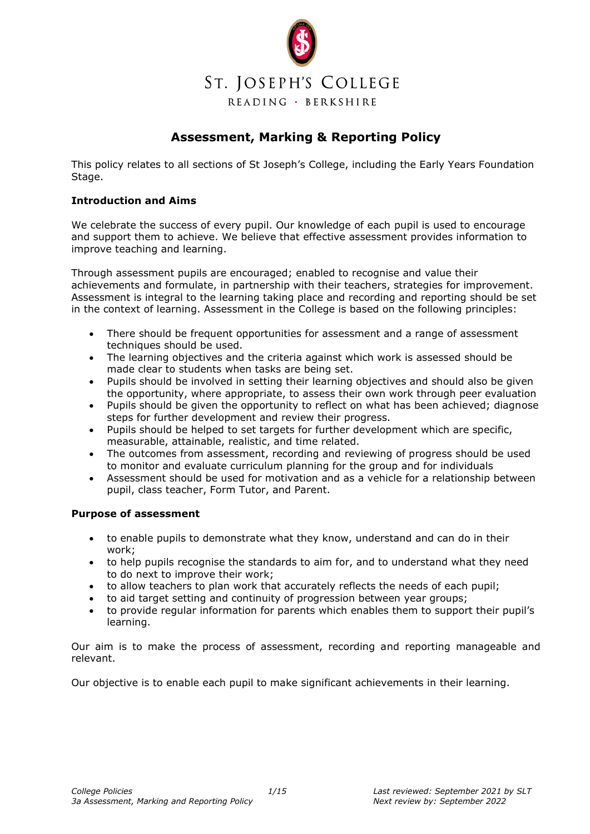

### **Assessment, Marking & Reporting Policy**

This policy relates to all sections of St Joseph's College, including the Early Years Foundation Stage.

#### **Introduction and Aims**

We celebrate the success of every pupil. Our knowledge of each pupil is used to encourage and support them to achieve. We believe that effective assessment provides information to improve teaching and learning.

Through assessment pupils are encouraged; enabled to recognise and value their achievements and formulate, in partnership with their teachers, strategies for improvement. Assessment is integral to the learning taking place and recording and reporting should be set in the context of learning. Assessment in the College is based on the following principles:

- There should be frequent opportunities for assessment and a range of assessment techniques should be used.
- The learning objectives and the criteria against which work is assessed should be made clear to students when tasks are being set.
- Pupils should be involved in setting their learning objectives and should also be given the opportunity, where appropriate, to assess their own work through peer evaluation
- Pupils should be given the opportunity to reflect on what has been achieved; diagnose steps for further development and review their progress.
- Pupils should be helped to set targets for further development which are specific, measurable, attainable, realistic, and time related.
- The outcomes from assessment, recording and reviewing of progress should be used to monitor and evaluate curriculum planning for the group and for individuals
- Assessment should be used for motivation and as a vehicle for a relationship between pupil, class teacher, Form Tutor, and Parent.

#### **Purpose of assessment**

- to enable pupils to demonstrate what they know, understand and can do in their work;
- to help pupils recognise the standards to aim for, and to understand what they need to do next to improve their work;
- to allow teachers to plan work that accurately reflects the needs of each pupil;
- to aid target setting and continuity of progression between year groups;
- to provide regular information for parents which enables them to support their pupil's learning.

Our aim is to make the process of assessment, recording and reporting manageable and relevant.

Our objective is to enable each pupil to make significant achievements in their learning.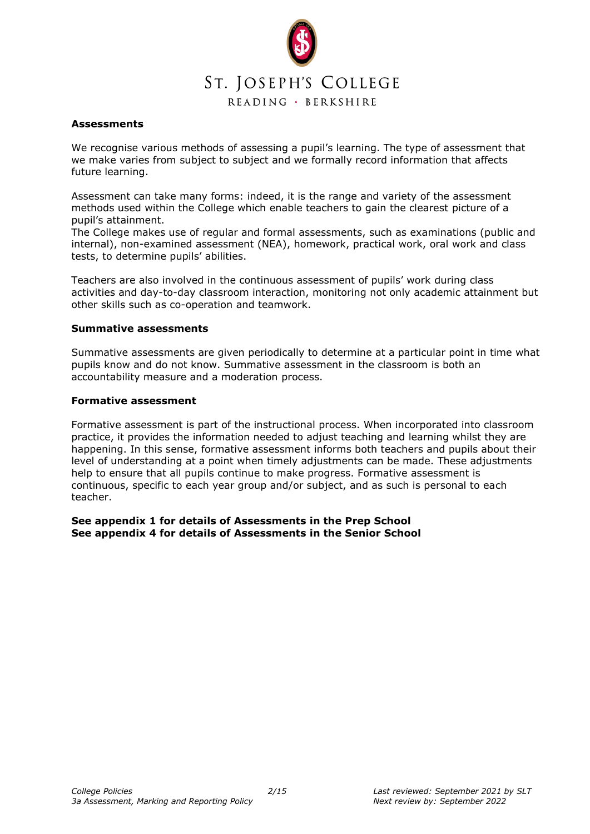

READING · BERKSHIRE

#### **Assessments**

We recognise various methods of assessing a pupil's learning. The type of assessment that we make varies from subject to subject and we formally record information that affects future learning.

Assessment can take many forms: indeed, it is the range and variety of the assessment methods used within the College which enable teachers to gain the clearest picture of a pupil's attainment.

The College makes use of regular and formal assessments, such as examinations (public and internal), non-examined assessment (NEA), homework, practical work, oral work and class tests, to determine pupils' abilities.

Teachers are also involved in the continuous assessment of pupils' work during class activities and day-to-day classroom interaction, monitoring not only academic attainment but other skills such as co-operation and teamwork.

#### **Summative assessments**

Summative assessments are given periodically to determine at a particular point in time what pupils know and do not know. Summative assessment in the classroom is both an accountability measure and a moderation process.

#### **Formative assessment**

Formative assessment is part of the instructional process. When incorporated into classroom practice, it provides the information needed to adjust teaching and learning whilst they are happening. In this sense, formative assessment informs both teachers and pupils about their level of understanding at a point when timely adjustments can be made. These adjustments help to ensure that all pupils continue to make progress. Formative assessment is continuous, specific to each year group and/or subject, and as such is personal to each teacher.

**See appendix 1 for details of Assessments in the Prep School See appendix 4 for details of Assessments in the Senior School**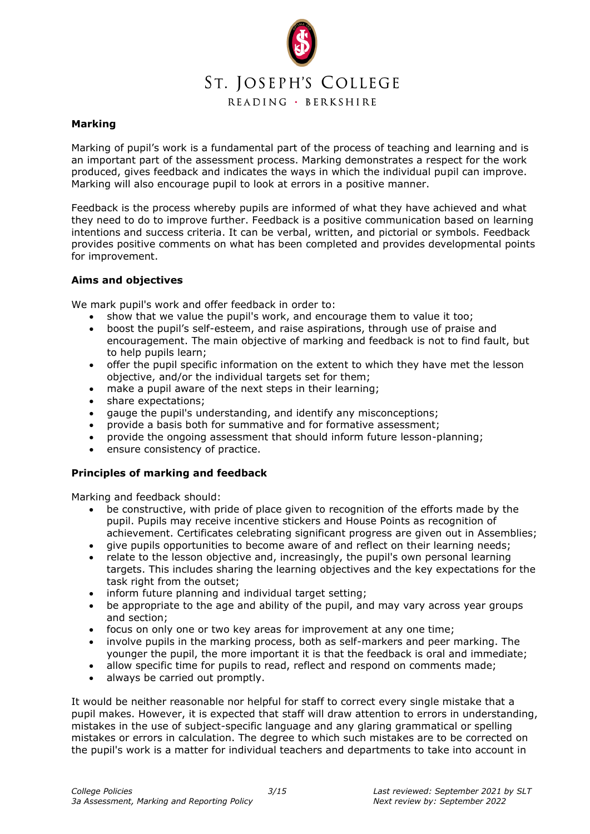

READING · BERKSHIRE

#### **Marking**

Marking of pupil's work is a fundamental part of the process of teaching and learning and is an important part of the assessment process. Marking demonstrates a respect for the work produced, gives feedback and indicates the ways in which the individual pupil can improve. Marking will also encourage pupil to look at errors in a positive manner.

Feedback is the process whereby pupils are informed of what they have achieved and what they need to do to improve further. Feedback is a positive communication based on learning intentions and success criteria. It can be verbal, written, and pictorial or symbols. Feedback provides positive comments on what has been completed and provides developmental points for improvement.

#### **Aims and objectives**

We mark pupil's work and offer feedback in order to:

- show that we value the pupil's work, and encourage them to value it too;
- boost the pupil's self-esteem, and raise aspirations, through use of praise and encouragement. The main objective of marking and feedback is not to find fault, but to help pupils learn;
- offer the pupil specific information on the extent to which they have met the lesson objective, and/or the individual targets set for them;
- make a pupil aware of the next steps in their learning;
- share expectations;
- gauge the pupil's understanding, and identify any misconceptions;
- provide a basis both for summative and for formative assessment;
- provide the ongoing assessment that should inform future lesson-planning;
- ensure consistency of practice.

#### **Principles of marking and feedback**

Marking and feedback should:

- be constructive, with pride of place given to recognition of the efforts made by the pupil. Pupils may receive incentive stickers and House Points as recognition of achievement. Certificates celebrating significant progress are given out in Assemblies;
- give pupils opportunities to become aware of and reflect on their learning needs;
- relate to the lesson objective and, increasingly, the pupil's own personal learning targets. This includes sharing the learning objectives and the key expectations for the task right from the outset;
- inform future planning and individual target setting;
- be appropriate to the age and ability of the pupil, and may vary across year groups and section;
- focus on only one or two key areas for improvement at any one time;
- involve pupils in the marking process, both as self-markers and peer marking. The younger the pupil, the more important it is that the feedback is oral and immediate;
- allow specific time for pupils to read, reflect and respond on comments made;
- always be carried out promptly.

It would be neither reasonable nor helpful for staff to correct every single mistake that a pupil makes. However, it is expected that staff will draw attention to errors in understanding, mistakes in the use of subject-specific language and any glaring grammatical or spelling mistakes or errors in calculation. The degree to which such mistakes are to be corrected on the pupil's work is a matter for individual teachers and departments to take into account in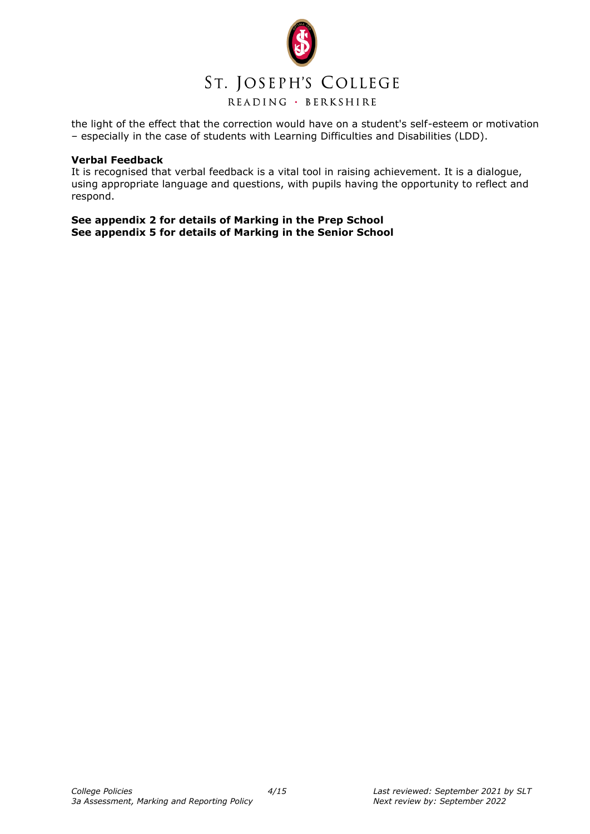

READING · BERKSHIRE

the light of the effect that the correction would have on a student's self-esteem or motivation – especially in the case of students with Learning Difficulties and Disabilities (LDD).

#### **Verbal Feedback**

It is recognised that verbal feedback is a vital tool in raising achievement. It is a dialogue, using appropriate language and questions, with pupils having the opportunity to reflect and respond.

**See appendix 2 for details of Marking in the Prep School See appendix 5 for details of Marking in the Senior School**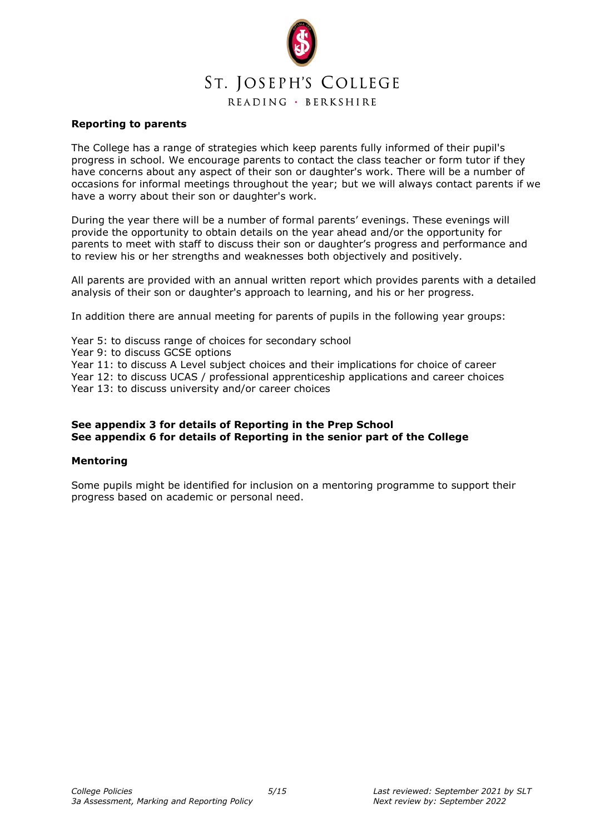

#### **Reporting to parents**

The College has a range of strategies which keep parents fully informed of their pupil's progress in school. We encourage parents to contact the class teacher or form tutor if they have concerns about any aspect of their son or daughter's work. There will be a number of occasions for informal meetings throughout the year; but we will always contact parents if we have a worry about their son or daughter's work.

During the year there will be a number of formal parents' evenings. These evenings will provide the opportunity to obtain details on the year ahead and/or the opportunity for parents to meet with staff to discuss their son or daughter's progress and performance and to review his or her strengths and weaknesses both objectively and positively.

All parents are provided with an annual written report which provides parents with a detailed analysis of their son or daughter's approach to learning, and his or her progress.

In addition there are annual meeting for parents of pupils in the following year groups:

Year 5: to discuss range of choices for secondary school Year 9: to discuss GCSE options Year 11: to discuss A Level subject choices and their implications for choice of career Year 12: to discuss UCAS / professional apprenticeship applications and career choices Year 13: to discuss university and/or career choices

#### **See appendix 3 for details of Reporting in the Prep School See appendix 6 for details of Reporting in the senior part of the College**

#### **Mentoring**

Some pupils might be identified for inclusion on a mentoring programme to support their progress based on academic or personal need.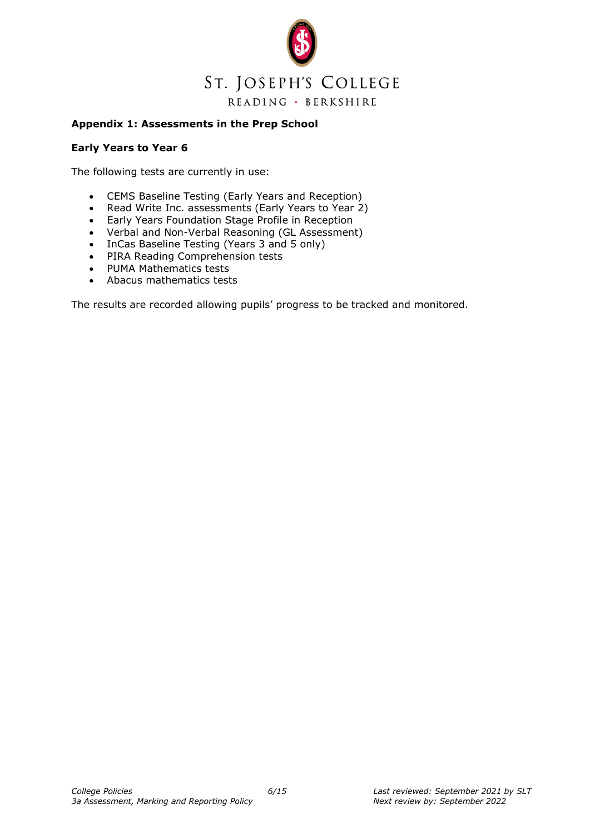

#### **Appendix 1: Assessments in the Prep School**

#### **Early Years to Year 6**

The following tests are currently in use:

- CEMS Baseline Testing (Early Years and Reception)
- Read Write Inc. assessments (Early Years to Year 2)
- Early Years Foundation Stage Profile in Reception
- Verbal and Non-Verbal Reasoning (GL Assessment)<br>• InCas Baseline Testing (Years 3 and 5 only)
- InCas Baseline Testing (Years 3 and 5 only)
- PIRA Reading Comprehension tests
- PUMA Mathematics tests
- Abacus mathematics tests

The results are recorded allowing pupils' progress to be tracked and monitored.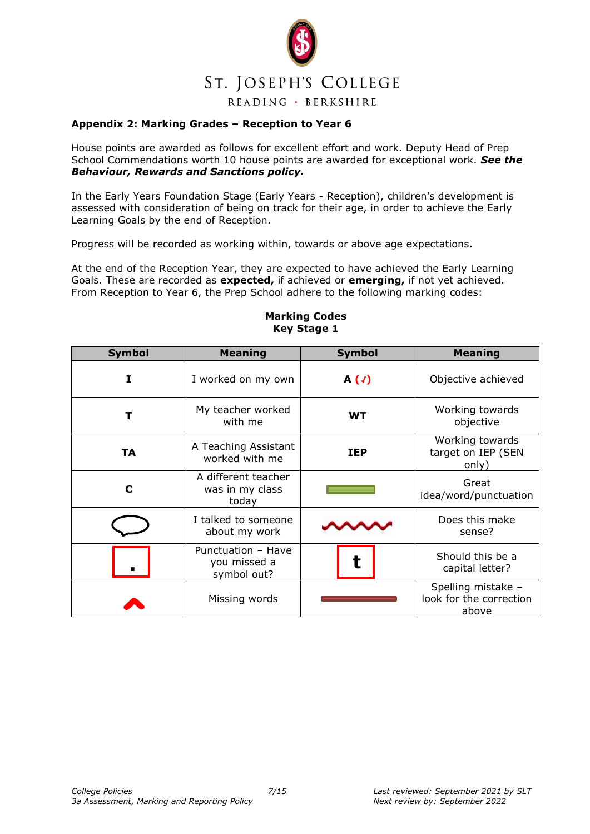

#### **Appendix 2: Marking Grades – Reception to Year 6**

House points are awarded as follows for excellent effort and work. Deputy Head of Prep School Commendations worth 10 house points are awarded for exceptional work. *See the Behaviour, Rewards and Sanctions policy.*

In the Early Years Foundation Stage (Early Years - Reception), children's development is assessed with consideration of being on track for their age, in order to achieve the Early Learning Goals by the end of Reception.

Progress will be recorded as working within, towards or above age expectations.

At the end of the Reception Year, they are expected to have achieved the Early Learning Goals. These are recorded as **expected,** if achieved or **emerging,** if not yet achieved. From Reception to Year 6, the Prep School adhere to the following marking codes:

| <b>Symbol</b> | <b>Meaning</b>                                    | <b>Symbol</b> | <b>Meaning</b>                                         |
|---------------|---------------------------------------------------|---------------|--------------------------------------------------------|
| I             | I worked on my own                                | A $(\prime)$  | Objective achieved                                     |
| т             | My teacher worked<br>with me                      | <b>WT</b>     | Working towards<br>objective                           |
| <b>TA</b>     | A Teaching Assistant<br>worked with me            | <b>IEP</b>    | Working towards<br>target on IEP (SEN<br>only)         |
| C             | A different teacher<br>was in my class<br>today   |               | Great<br>idea/word/punctuation                         |
|               | I talked to someone<br>about my work              |               | Does this make<br>sense?                               |
|               | Punctuation - Have<br>you missed a<br>symbol out? |               | Should this be a<br>capital letter?                    |
|               | Missing words                                     |               | Spelling mistake -<br>look for the correction<br>above |
|               |                                                   |               |                                                        |

#### **Marking Codes Key Stage 1**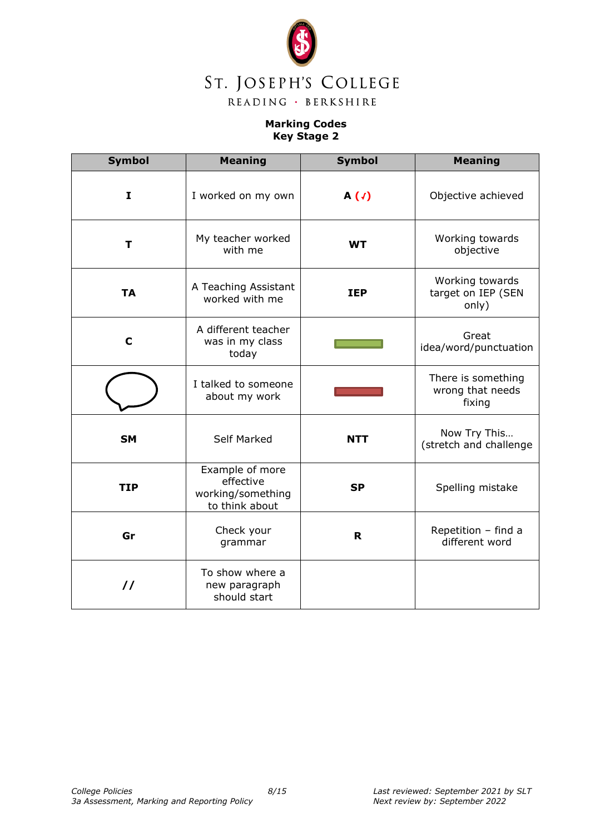

READING · BERKSHIRE

#### **Marking Codes Key Stage 2**

| <b>Symbol</b> | <b>Meaning</b>                                                      | <b>Symbol</b>  |                                                  |
|---------------|---------------------------------------------------------------------|----------------|--------------------------------------------------|
| $\mathbf{I}$  | I worked on my own                                                  | A $(\sqrt{2})$ | Objective achieved                               |
| T             | My teacher worked<br>with me                                        | <b>WT</b>      | Working towards<br>objective                     |
| <b>TA</b>     | A Teaching Assistant<br>worked with me                              | <b>IEP</b>     | Working towards<br>target on IEP (SEN<br>only)   |
| C             | A different teacher<br>was in my class<br>today                     |                | Great<br>idea/word/punctuation                   |
|               | I talked to someone<br>about my work                                |                | There is something<br>wrong that needs<br>fixing |
| <b>SM</b>     | <b>Self Marked</b>                                                  | <b>NTT</b>     | Now Try This<br>(stretch and challenge           |
| TIP           | Example of more<br>effective<br>working/something<br>to think about | <b>SP</b>      | Spelling mistake                                 |
| Gr            | Check your<br>grammar                                               | R              | Repetition - find a<br>different word            |
| $\prime$      | To show where a<br>new paragraph<br>should start                    |                |                                                  |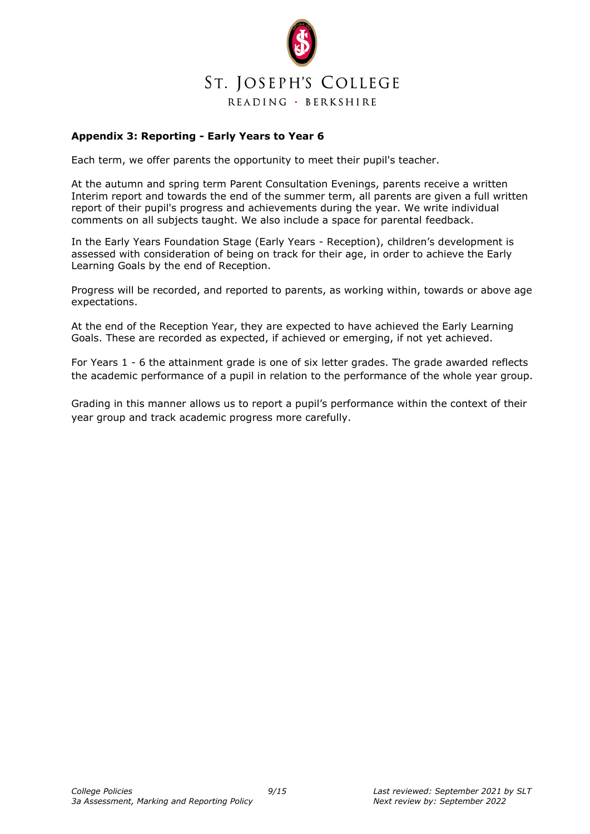

#### **Appendix 3: Reporting - Early Years to Year 6**

Each term, we offer parents the opportunity to meet their pupil's teacher.

At the autumn and spring term Parent Consultation Evenings, parents receive a written Interim report and towards the end of the summer term, all parents are given a full written report of their pupil's progress and achievements during the year. We write individual comments on all subjects taught. We also include a space for parental feedback.

In the Early Years Foundation Stage (Early Years - Reception), children's development is assessed with consideration of being on track for their age, in order to achieve the Early Learning Goals by the end of Reception.

Progress will be recorded, and reported to parents, as working within, towards or above age expectations.

At the end of the Reception Year, they are expected to have achieved the Early Learning Goals. These are recorded as expected, if achieved or emerging, if not yet achieved.

For Years 1 - 6 the attainment grade is one of six letter grades. The grade awarded reflects the academic performance of a pupil in relation to the performance of the whole year group.

Grading in this manner allows us to report a pupil's performance within the context of their year group and track academic progress more carefully.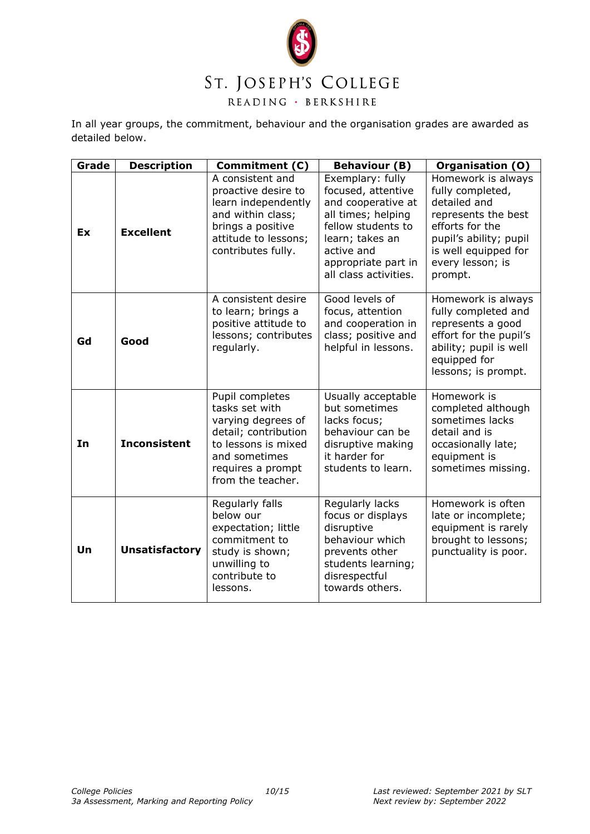

READING · BERKSHIRE

In all year groups, the commitment, behaviour and the organisation grades are awarded as detailed below.

| Grade | <b>Description</b>    | <b>Commitment (C)</b>                                                                                                                                             | <b>Behaviour (B)</b>                                                                                                                                                                      | <b>Organisation (O)</b>                                                                                                                                                           |
|-------|-----------------------|-------------------------------------------------------------------------------------------------------------------------------------------------------------------|-------------------------------------------------------------------------------------------------------------------------------------------------------------------------------------------|-----------------------------------------------------------------------------------------------------------------------------------------------------------------------------------|
| Ex    | <b>Excellent</b>      | A consistent and<br>proactive desire to<br>learn independently<br>and within class;<br>brings a positive<br>attitude to lessons;<br>contributes fully.            | Exemplary: fully<br>focused, attentive<br>and cooperative at<br>all times; helping<br>fellow students to<br>learn; takes an<br>active and<br>appropriate part in<br>all class activities. | Homework is always<br>fully completed,<br>detailed and<br>represents the best<br>efforts for the<br>pupil's ability; pupil<br>is well equipped for<br>every lesson; is<br>prompt. |
| Gd    | Good                  | A consistent desire<br>to learn; brings a<br>positive attitude to<br>lessons; contributes<br>regularly.                                                           | Good levels of<br>focus, attention<br>and cooperation in<br>class; positive and<br>helpful in lessons.                                                                                    | Homework is always<br>fully completed and<br>represents a good<br>effort for the pupil's<br>ability; pupil is well<br>equipped for<br>lessons; is prompt.                         |
| In    | <b>Inconsistent</b>   | Pupil completes<br>tasks set with<br>varying degrees of<br>detail; contribution<br>to lessons is mixed<br>and sometimes<br>requires a prompt<br>from the teacher. | Usually acceptable<br>but sometimes<br>lacks focus;<br>behaviour can be<br>disruptive making<br>it harder for<br>students to learn.                                                       | Homework is<br>completed although<br>sometimes lacks<br>detail and is<br>occasionally late;<br>equipment is<br>sometimes missing.                                                 |
| Un    | <b>Unsatisfactory</b> | Regularly falls<br>below our<br>expectation; little<br>commitment to<br>study is shown;<br>unwilling to<br>contribute to<br>lessons.                              | Regularly lacks<br>focus or displays<br>disruptive<br>behaviour which<br>prevents other<br>students learning;<br>disrespectful<br>towards others.                                         | Homework is often<br>late or incomplete;<br>equipment is rarely<br>brought to lessons;<br>punctuality is poor.                                                                    |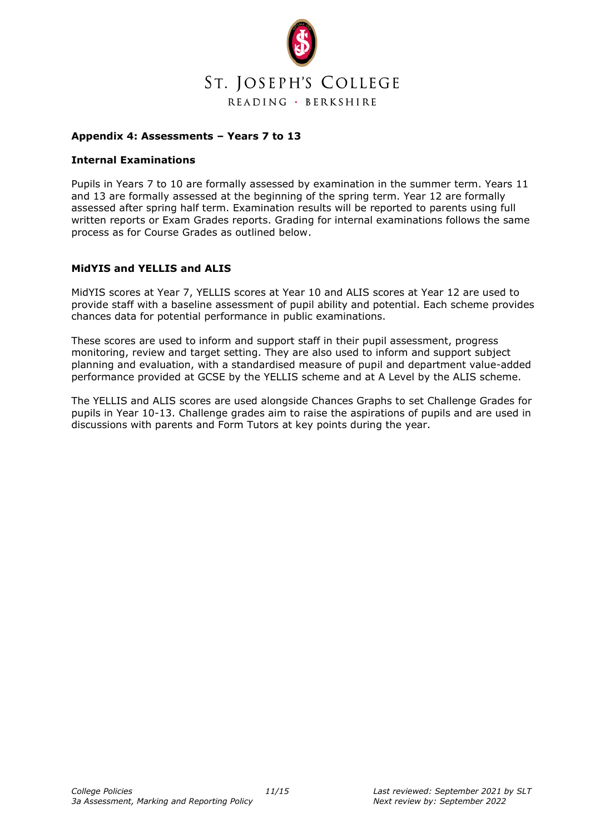

#### **Appendix 4: Assessments – Years 7 to 13**

#### **Internal Examinations**

Pupils in Years 7 to 10 are formally assessed by examination in the summer term. Years 11 and 13 are formally assessed at the beginning of the spring term. Year 12 are formally assessed after spring half term. Examination results will be reported to parents using full written reports or Exam Grades reports. Grading for internal examinations follows the same process as for Course Grades as outlined below.

#### **MidYIS and YELLIS and ALIS**

MidYIS scores at Year 7, YELLIS scores at Year 10 and ALIS scores at Year 12 are used to provide staff with a baseline assessment of pupil ability and potential. Each scheme provides chances data for potential performance in public examinations.

These scores are used to inform and support staff in their pupil assessment, progress monitoring, review and target setting. They are also used to inform and support subject planning and evaluation, with a standardised measure of pupil and department value-added performance provided at GCSE by the YELLIS scheme and at A Level by the ALIS scheme.

The YELLIS and ALIS scores are used alongside Chances Graphs to set Challenge Grades for pupils in Year 10-13. Challenge grades aim to raise the aspirations of pupils and are used in discussions with parents and Form Tutors at key points during the year.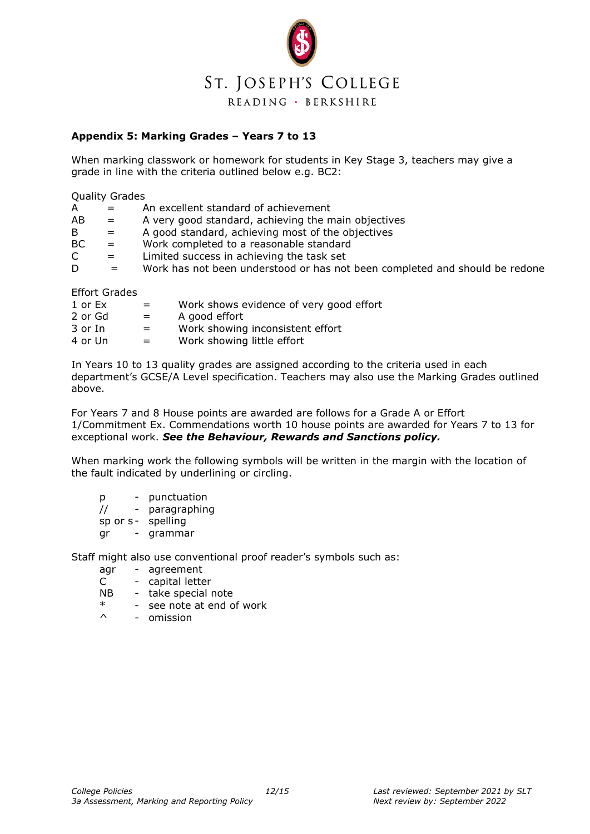

#### **Appendix 5: Marking Grades – Years 7 to 13**

When marking classwork or homework for students in Key Stage 3, teachers may give a grade in line with the criteria outlined below e.g. BC2:

Quality Grades

| $=$ | An excellent standard of achievement                                        |
|-----|-----------------------------------------------------------------------------|
| $=$ | A very good standard, achieving the main objectives                         |
| $=$ | A good standard, achieving most of the objectives                           |
| $=$ | Work completed to a reasonable standard                                     |
| $=$ | Limited success in achieving the task set                                   |
| $=$ | Work has not been understood or has not been completed and should be redone |
|     |                                                                             |

Effort Grades

| 1 or Ex | $=$ | Work shows evidence of very good effort |
|---------|-----|-----------------------------------------|
| 2 or Gd | $=$ | A good effort                           |
| 3 or In | $=$ | Work showing inconsistent effort        |
| 4 or Un | $=$ | Work showing little effort              |
|         |     |                                         |

In Years 10 to 13 quality grades are assigned according to the criteria used in each department's GCSE/A Level specification. Teachers may also use the Marking Grades outlined above.

For Years 7 and 8 House points are awarded are follows for a Grade A or Effort 1/Commitment Ex. Commendations worth 10 house points are awarded for Years 7 to 13 for exceptional work. *See the Behaviour, Rewards and Sanctions policy.*

When marking work the following symbols will be written in the margin with the location of the fault indicated by underlining or circling.

- p punctuation
- // paragraphing
- sp or s- spelling
- gr grammar

Staff might also use conventional proof reader's symbols such as:

- agr agreement
- C capital letter
- $NB take special note  
\n* see note at end o$
- \* see note at end of work
- omission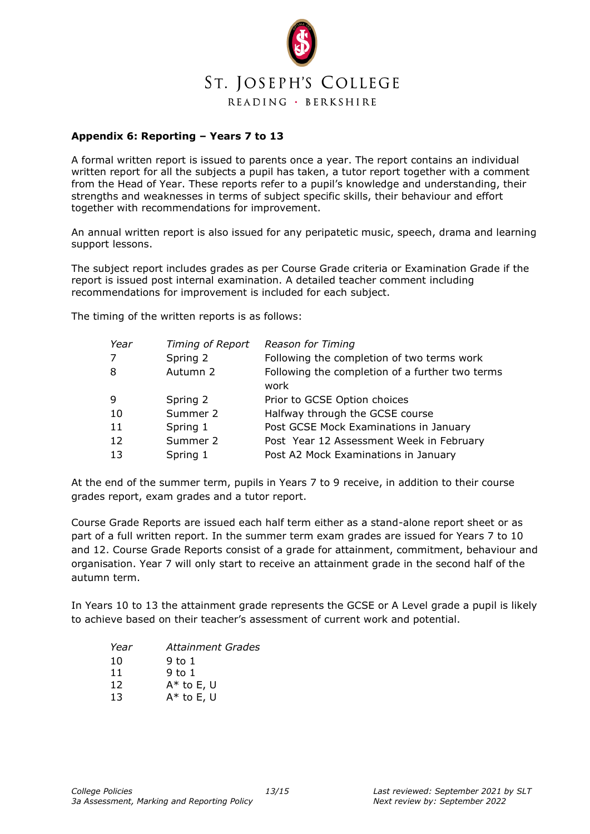

#### **Appendix 6: Reporting – Years 7 to 13**

A formal written report is issued to parents once a year. The report contains an individual written report for all the subjects a pupil has taken, a tutor report together with a comment from the Head of Year. These reports refer to a pupil's knowledge and understanding, their strengths and weaknesses in terms of subject specific skills, their behaviour and effort together with recommendations for improvement.

An annual written report is also issued for any peripatetic music, speech, drama and learning support lessons.

The subject report includes grades as per Course Grade criteria or Examination Grade if the report is issued post internal examination. A detailed teacher comment including recommendations for improvement is included for each subject.

The timing of the written reports is as follows:

| Year | Timing of Report | <b>Reason for Timing</b>                        |
|------|------------------|-------------------------------------------------|
| 7    | Spring 2         | Following the completion of two terms work      |
| 8    | Autumn 2         | Following the completion of a further two terms |
|      |                  | work                                            |
| -9   | Spring 2         | Prior to GCSE Option choices                    |
| 10   | Summer 2         | Halfway through the GCSE course                 |
| 11   | Spring 1         | Post GCSE Mock Examinations in January          |
| 12   | Summer 2         | Post Year 12 Assessment Week in February        |
| 13   | Spring 1         | Post A2 Mock Examinations in January            |

At the end of the summer term, pupils in Years 7 to 9 receive, in addition to their course grades report, exam grades and a tutor report.

Course Grade Reports are issued each half term either as a stand-alone report sheet or as part of a full written report. In the summer term exam grades are issued for Years 7 to 10 and 12. Course Grade Reports consist of a grade for attainment, commitment, behaviour and organisation. Year 7 will only start to receive an attainment grade in the second half of the autumn term.

In Years 10 to 13 the attainment grade represents the GCSE or A Level grade a pupil is likely to achieve based on their teacher's assessment of current work and potential.

| Year | Attainment Grades |
|------|-------------------|
| 10   | 9 to 1            |
| 11   | 9 to $1$          |
| 12   | $A*$ to E, U      |
| 13   | $A*$ to E, U      |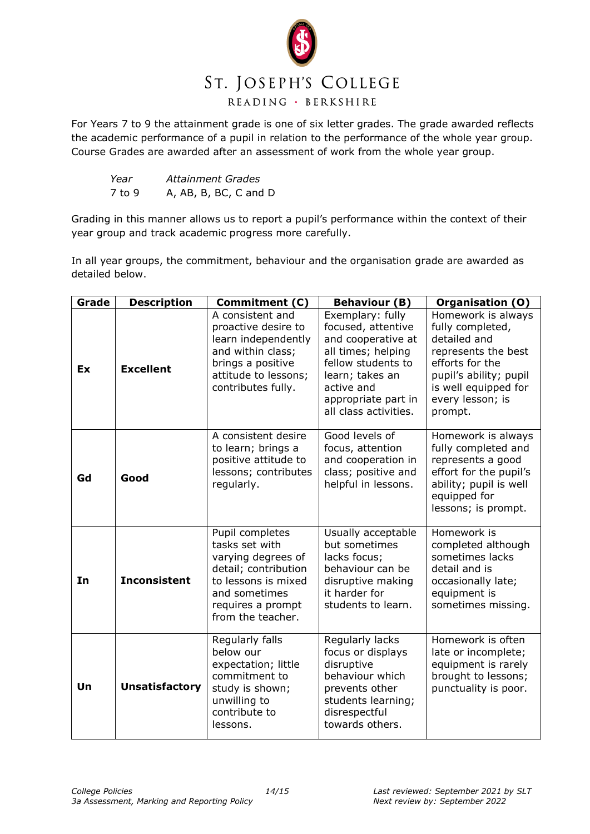

READING · BERKSHIRE

For Years 7 to 9 the attainment grade is one of six letter grades. The grade awarded reflects the academic performance of a pupil in relation to the performance of the whole year group. Course Grades are awarded after an assessment of work from the whole year group.

| Year     | <b>Attainment Grades</b> |
|----------|--------------------------|
| $7$ to 9 | A, AB, B, BC, C and D    |

Grading in this manner allows us to report a pupil's performance within the context of their year group and track academic progress more carefully.

In all year groups, the commitment, behaviour and the organisation grade are awarded as detailed below.

| Grade | <b>Description</b>    | <b>Commitment (C)</b>                                                                                                                                             | <b>Behaviour (B)</b>                                                                                                                                                                      | Organisation (O)                                                                                                                                                                  |
|-------|-----------------------|-------------------------------------------------------------------------------------------------------------------------------------------------------------------|-------------------------------------------------------------------------------------------------------------------------------------------------------------------------------------------|-----------------------------------------------------------------------------------------------------------------------------------------------------------------------------------|
| Ex    | <b>Excellent</b>      | A consistent and<br>proactive desire to<br>learn independently<br>and within class;<br>brings a positive<br>attitude to lessons;<br>contributes fully.            | Exemplary: fully<br>focused, attentive<br>and cooperative at<br>all times; helping<br>fellow students to<br>learn; takes an<br>active and<br>appropriate part in<br>all class activities. | Homework is always<br>fully completed,<br>detailed and<br>represents the best<br>efforts for the<br>pupil's ability; pupil<br>is well equipped for<br>every lesson; is<br>prompt. |
| Gd    | Good                  | A consistent desire<br>to learn; brings a<br>positive attitude to<br>lessons; contributes<br>regularly.                                                           | Good levels of<br>focus, attention<br>and cooperation in<br>class; positive and<br>helpful in lessons.                                                                                    | Homework is always<br>fully completed and<br>represents a good<br>effort for the pupil's<br>ability; pupil is well<br>equipped for<br>lessons; is prompt.                         |
| In    | <b>Inconsistent</b>   | Pupil completes<br>tasks set with<br>varying degrees of<br>detail; contribution<br>to lessons is mixed<br>and sometimes<br>requires a prompt<br>from the teacher. | Usually acceptable<br>but sometimes<br>lacks focus;<br>behaviour can be<br>disruptive making<br>it harder for<br>students to learn.                                                       | Homework is<br>completed although<br>sometimes lacks<br>detail and is<br>occasionally late;<br>equipment is<br>sometimes missing.                                                 |
| Un    | <b>Unsatisfactory</b> | Regularly falls<br>below our<br>expectation; little<br>commitment to<br>study is shown;<br>unwilling to<br>contribute to<br>lessons.                              | Regularly lacks<br>focus or displays<br>disruptive<br>behaviour which<br>prevents other<br>students learning;<br>disrespectful<br>towards others.                                         | Homework is often<br>late or incomplete;<br>equipment is rarely<br>brought to lessons;<br>punctuality is poor.                                                                    |